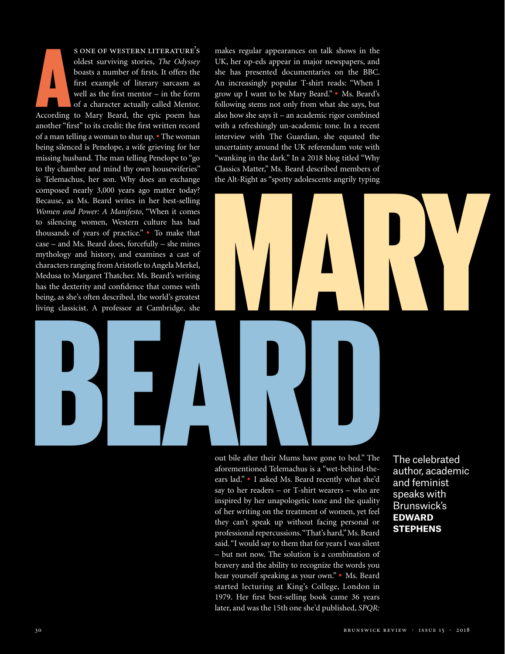According s one of western literature's oldest surviving stories, *The Odyssey* boasts a number of firsts. It offers the first example of literary sarcasm as well as the first mentor – in the form of a character actually called Mentor. According to Mary Beard, the epic poem has another "first" to its credit: the first written record of a man telling a woman to shut up. • The woman being silenced is Penelope, a wife grieving for her missing husband. The man telling Penelope to "go to thy chamber and mind thy own housewiferies" is Telemachus, her son. Why does an exchange composed nearly 3,000 years ago matter today? Because, as Ms. Beard writes in her best-selling *Women and Power: A Manifesto*, "When it comes to silencing women, Western culture has had thousands of years of practice." • To make that case – and Ms. Beard does, forcefully – she mines mythology and history, and examines a cast of characters ranging from Aristotle to Angela Merkel, Medusa to Margaret Thatcher. Ms. Beard's writing has the dexterity and confidence that comes with being, as she's often described, the world's greatest living classicist. A professor at Cambridge, she

makes regular appearances on talk shows in the UK, her op-eds appear in major newspapers, and she has presented documentaries on the BBC. An increasingly popular T-shirt reads: "When I grow up I want to be Mary Beard." • Ms. Beard's following stems not only from what she says, but also how she says it – an academic rigor combined with a refreshingly un-academic tone. In a recent interview with The Guardian, she equated the uncertainty around the UK referendum vote with "wanking in the dark." In a 2018 blog titled "Why Classics Matter," Ms. Beard described members of the Alt-Right as "spotty adolescents angrily typing

## has the dexterity and confidence that comes with<br>being, as she's often described, the world's greatest<br>living classicist. A professor at Cambridge, she<br><br>controlled the controlled of the controlled of the controlled of the wanking in the dark. In a 2018 biog titled Why<br>Classics Matter," Ms. Beard described members of<br>the Alt-Right as "spotty adolescents angrily typing

out bile after their Mums have gone to bed." The aforementioned Telemachus is a "wet-behind-theears lad." • I asked Ms. Beard recently what she'd say to her readers – or T-shirt wearers – who are inspired by her unapologetic tone and the quality of her writing on the treatment of women, yet feel they can't speak up without facing personal or professional repercussions. "That's hard," Ms. Beard said. "I would say to them that for years I was silent – but not now. The solution is a combination of bravery and the ability to recognize the words you hear yourself speaking as your own." • Ms. Beard started lecturing at King's College, London in 1979. Her first best-selling book came 36 years later, and was the 15th one she'd published, *SPQR:*

The celebrated author, academic and feminist speaks with Brunswick's **edward stephens**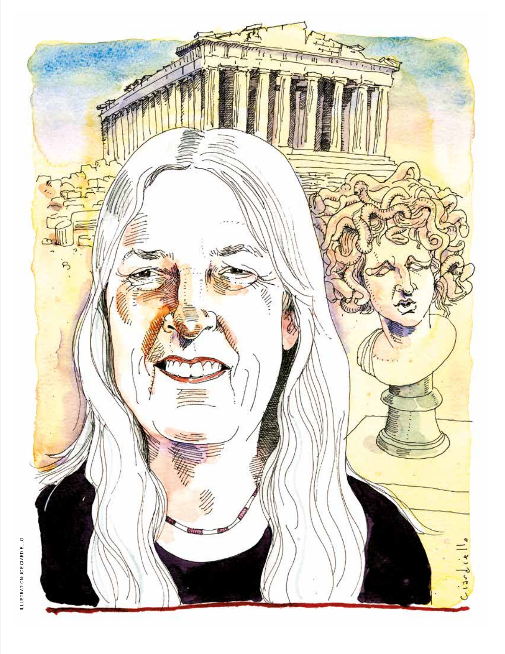